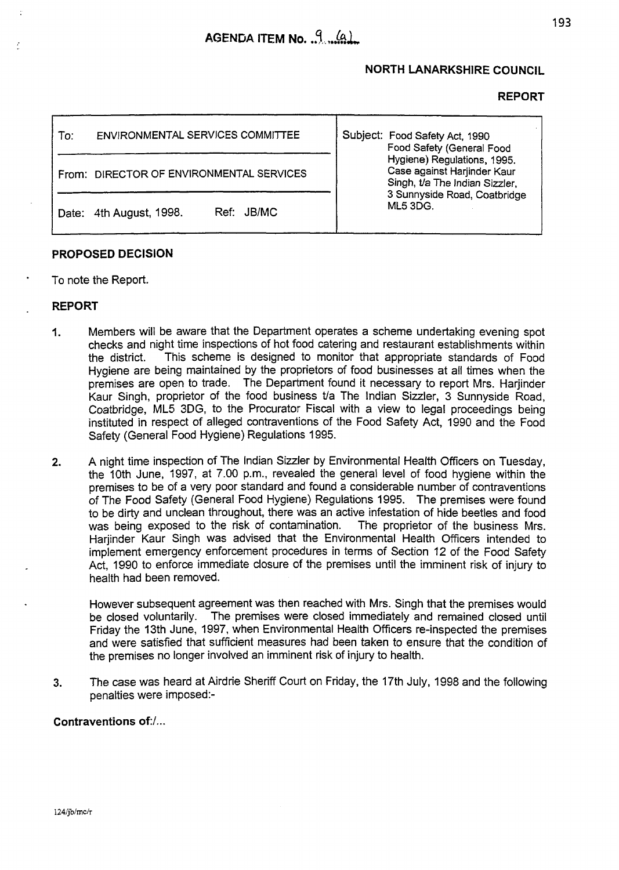# **NORTH LANARKSHIRE COUNCIL**

## **REPORT**

| ENVIRONMENTAL SERVICES COMMITTEE<br>To:  | Subject: Food Safety Act, 1990<br>Food Safety (General Food<br>Hygiene) Regulations, 1995.<br>Case against Harjinder Kaur<br>Singh, t/a The Indian Sizzler,<br>3 Sunnyside Road, Coatbridge<br><b>ML5 3DG.</b> |
|------------------------------------------|----------------------------------------------------------------------------------------------------------------------------------------------------------------------------------------------------------------|
| From: DIRECTOR OF ENVIRONMENTAL SERVICES |                                                                                                                                                                                                                |
| Ref: JB/MC<br>Date: 4th August, 1998.    |                                                                                                                                                                                                                |

## **PROPOSED DECISION**

To note the Report.

- **REPORT<br>1.** Me Members will be aware that the Department operates a scheme undertaking evening spot checks and night time inspections of hot food catering and restaurant establishments within the district. This scheme is designed to monitor that appropriate standards of Food Hygiene are being maintained by the proprietors of food businesses at all times when the premises are open to trade. The Department found it necessary to report Mrs. Harjinder Kaur Singh, proprietor of the food business tla The Indian Sizzler, 3 Sunnyside Road, Coatbridge, ML5 3DG, to the Procurator Fiscal with a view to legal proceedings being instituted in respect of alleged contraventions of the Food Safety Act, 1990 and the Food Safety (General Food Hygiene) Regulations 1995.
- **2. A** night time inspection of The Indian Sizzler by Environmental Health Officers on Tuesday, the 10th June, 1997, at 7.00 p.m., revealed the general level of food hygiene within the premises to be of a very poor standard and found a considerable number of contraventions *of* The Food Safety (General Food Hygiene) Regulations 1995. The premises were found to be dirty and unclean throughout, there was an active infestation of hide beetles and food was being exposed to the risk of contamination. The proprietor of the business Mrs. was being exposed to the risk of contamination. Hariinder Kaur Singh was advised that the Environmental Health Officers intended to implement emergency enforcement procedures in terms of Section 12 of the Food Safety Act, 1990 to enforce immediate closure of the premises until the imminent risk of injury to health had been removed.

However subsequent agreement was then reached with Mrs. Singh that the premises would be closed voluntarily. The premises were closed immediately and remained closed until Friday the 13th June, 1997, when Environmental Health Officers re-inspected the premises and were satisfied that sufficient measures had been taken *to* ensure that the condition of the premises no longer involved an imminent risk of injury to health.

**3.** The case was heard at Airdrie Sheriff Court on Friday, the 17th July, 1998 and the following penalties were imposed:-

## **Contraventions of:/** ...